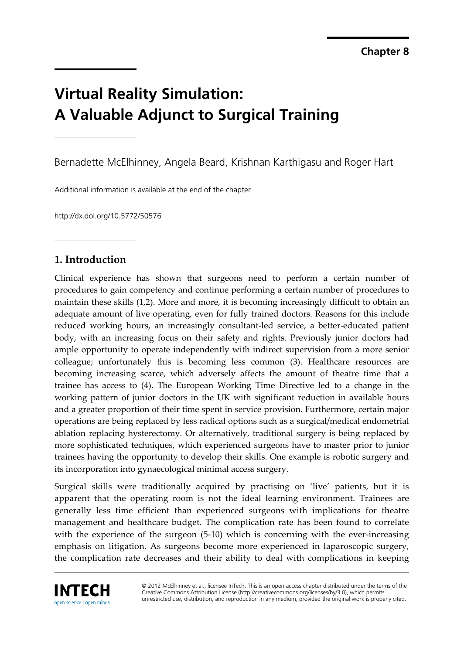# **Virtual Reality Simulation: A Valuable Adjunct to Surgical Training**

Bernadette McElhinney, Angela Beard, Krishnan Karthigasu and Roger Hart

Additional information is available at the end of the chapter

http://dx.doi.org/10.5772/50576

# **1. Introduction**

Clinical experience has shown that surgeons need to perform a certain number of procedures to gain competency and continue performing a certain number of procedures to maintain these skills (1,2). More and more, it is becoming increasingly difficult to obtain an adequate amount of live operating, even for fully trained doctors. Reasons for this include reduced working hours, an increasingly consultant-led service, a better-educated patient body, with an increasing focus on their safety and rights. Previously junior doctors had ample opportunity to operate independently with indirect supervision from a more senior colleague; unfortunately this is becoming less common (3). Healthcare resources are becoming increasing scarce, which adversely affects the amount of theatre time that a trainee has access to (4). The European Working Time Directive led to a change in the working pattern of junior doctors in the UK with significant reduction in available hours and a greater proportion of their time spent in service provision. Furthermore, certain major operations are being replaced by less radical options such as a surgical/medical endometrial ablation replacing hysterectomy. Or alternatively, traditional surgery is being replaced by more sophisticated techniques, which experienced surgeons have to master prior to junior trainees having the opportunity to develop their skills. One example is robotic surgery and its incorporation into gynaecological minimal access surgery.

Surgical skills were traditionally acquired by practising on 'live' patients, but it is apparent that the operating room is not the ideal learning environment. Trainees are generally less time efficient than experienced surgeons with implications for theatre management and healthcare budget. The complication rate has been found to correlate with the experience of the surgeon (5-10) which is concerning with the ever-increasing emphasis on litigation. As surgeons become more experienced in laparoscopic surgery, the complication rate decreases and their ability to deal with complications in keeping



© 2012 McElhinney et al., licensee InTech. This is an open access chapter distributed under the terms of the Creative Commons Attribution License (http://creativecommons.org/licenses/by/3.0), which permits unrestricted use, distribution, and reproduction in any medium, provided the original work is properly cited.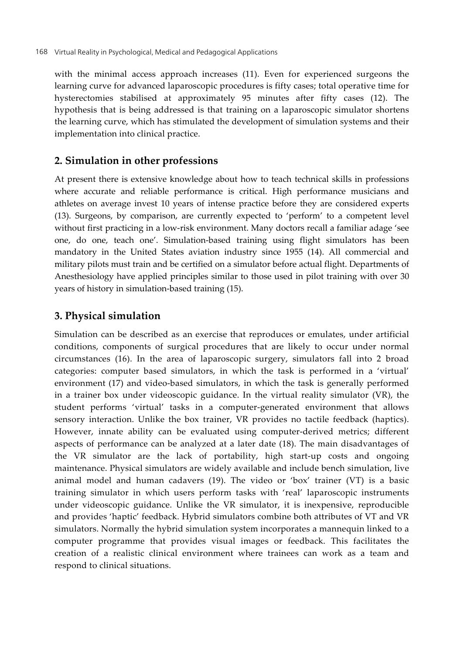with the minimal access approach increases (11). Even for experienced surgeons the learning curve for advanced laparoscopic procedures is fifty cases; total operative time for hysterectomies stabilised at approximately 95 minutes after fifty cases (12). The hypothesis that is being addressed is that training on a laparoscopic simulator shortens the learning curve, which has stimulated the development of simulation systems and their implementation into clinical practice.

# **2. Simulation in other professions**

At present there is extensive knowledge about how to teach technical skills in professions where accurate and reliable performance is critical. High performance musicians and athletes on average invest 10 years of intense practice before they are considered experts (13). Surgeons, by comparison, are currently expected to 'perform' to a competent level without first practicing in a low-risk environment. Many doctors recall a familiar adage 'see one, do one, teach one'. Simulation-based training using flight simulators has been mandatory in the United States aviation industry since 1955 (14). All commercial and military pilots must train and be certified on a simulator before actual flight. Departments of Anesthesiology have applied principles similar to those used in pilot training with over 30 years of history in simulation-based training (15).

# **3. Physical simulation**

Simulation can be described as an exercise that reproduces or emulates, under artificial conditions, components of surgical procedures that are likely to occur under normal circumstances (16). In the area of laparoscopic surgery, simulators fall into 2 broad categories: computer based simulators, in which the task is performed in a 'virtual' environment (17) and video-based simulators, in which the task is generally performed in a trainer box under videoscopic guidance. In the virtual reality simulator (VR), the student performs 'virtual' tasks in a computer-generated environment that allows sensory interaction. Unlike the box trainer, VR provides no tactile feedback (haptics). However, innate ability can be evaluated using computer-derived metrics; different aspects of performance can be analyzed at a later date (18). The main disadvantages of the VR simulator are the lack of portability, high start-up costs and ongoing maintenance. Physical simulators are widely available and include bench simulation, live animal model and human cadavers (19). The video or 'box' trainer (VT) is a basic training simulator in which users perform tasks with 'real' laparoscopic instruments under videoscopic guidance. Unlike the VR simulator, it is inexpensive, reproducible and provides 'haptic' feedback. Hybrid simulators combine both attributes of VT and VR simulators. Normally the hybrid simulation system incorporates a mannequin linked to a computer programme that provides visual images or feedback. This facilitates the creation of a realistic clinical environment where trainees can work as a team and respond to clinical situations.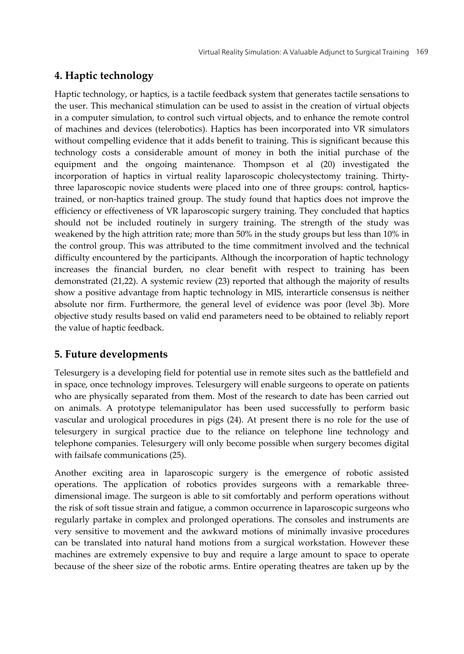# **4. Haptic technology**

Haptic technology, or haptics, is a tactile feedback system that generates tactile sensations to the user. This mechanical stimulation can be used to assist in the creation of virtual objects in a computer simulation, to control such virtual objects, and to enhance the remote control of machines and devices (telerobotics). Haptics has been incorporated into VR simulators without compelling evidence that it adds benefit to training. This is significant because this technology costs a considerable amount of money in both the initial purchase of the equipment and the ongoing maintenance. Thompson et al (20) investigated the incorporation of haptics in virtual reality laparoscopic cholecystectomy training. Thirtythree laparoscopic novice students were placed into one of three groups: control, hapticstrained, or non-haptics trained group. The study found that haptics does not improve the efficiency or effectiveness of VR laparoscopic surgery training. They concluded that haptics should not be included routinely in surgery training. The strength of the study was weakened by the high attrition rate; more than 50% in the study groups but less than 10% in the control group. This was attributed to the time commitment involved and the technical difficulty encountered by the participants. Although the incorporation of haptic technology increases the financial burden, no clear benefit with respect to training has been demonstrated (21,22). A systemic review (23) reported that although the majority of results show a positive advantage from haptic technology in MIS, interarticle consensus is neither absolute nor firm. Furthermore, the general level of evidence was poor (level 3b). More objective study results based on valid end parameters need to be obtained to reliably report the value of haptic feedback.

# **5. Future developments**

Telesurgery is a developing field for potential use in remote sites such as the battlefield and in space, once technology improves. Telesurgery will enable surgeons to operate on patients who are physically separated from them. Most of the research to date has been carried out on animals. A prototype telemanipulator has been used successfully to perform basic vascular and urological procedures in pigs (24). At present there is no role for the use of telesurgery in surgical practice due to the reliance on telephone line technology and telephone companies. Telesurgery will only become possible when surgery becomes digital with failsafe communications (25).

Another exciting area in laparoscopic surgery is the emergence of robotic assisted operations. The application of robotics provides surgeons with a remarkable threedimensional image. The surgeon is able to sit comfortably and perform operations without the risk of soft tissue strain and fatigue, a common occurrence in laparoscopic surgeons who regularly partake in complex and prolonged operations. The consoles and instruments are very sensitive to movement and the awkward motions of minimally invasive procedures can be translated into natural hand motions from a surgical workstation. However these machines are extremely expensive to buy and require a large amount to space to operate because of the sheer size of the robotic arms. Entire operating theatres are taken up by the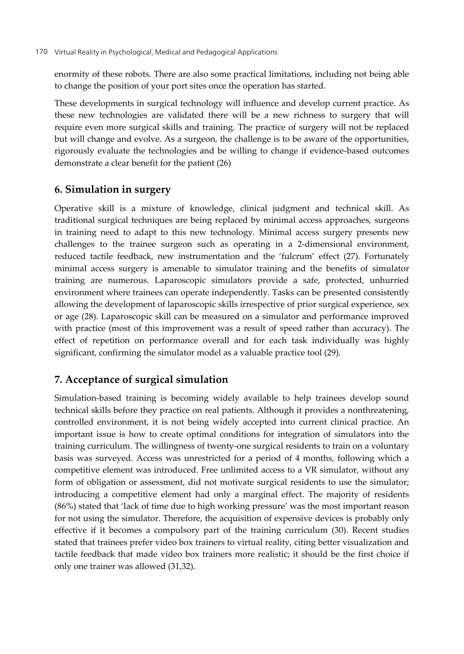enormity of these robots. There are also some practical limitations, including not being able to change the position of your port sites once the operation has started.

These developments in surgical technology will influence and develop current practice. As these new technologies are validated there will be a new richness to surgery that will require even more surgical skills and training. The practice of surgery will not be replaced but will change and evolve. As a surgeon, the challenge is to be aware of the opportunities, rigorously evaluate the technologies and be willing to change if evidence-based outcomes demonstrate a clear benefit for the patient (26)

# **6. Simulation in surgery**

Operative skill is a mixture of knowledge, clinical judgment and technical skill. As traditional surgical techniques are being replaced by minimal access approaches, surgeons in training need to adapt to this new technology. Minimal access surgery presents new challenges to the trainee surgeon such as operating in a 2-dimensional environment, reduced tactile feedback, new instrumentation and the 'fulcrum' effect (27). Fortunately minimal access surgery is amenable to simulator training and the benefits of simulator training are numerous. Laparoscopic simulators provide a safe, protected, unhurried environment where trainees can operate independently. Tasks can be presented consistently allowing the development of laparoscopic skills irrespective of prior surgical experience, sex or age (28). Laparoscopic skill can be measured on a simulator and performance improved with practice (most of this improvement was a result of speed rather than accuracy). The effect of repetition on performance overall and for each task individually was highly significant, confirming the simulator model as a valuable practice tool (29).

# **7. Acceptance of surgical simulation**

Simulation-based training is becoming widely available to help trainees develop sound technical skills before they practice on real patients. Although it provides a nonthreatening, controlled environment, it is not being widely accepted into current clinical practice. An important issue is how to create optimal conditions for integration of simulators into the training curriculum. The willingness of twenty-one surgical residents to train on a voluntary basis was surveyed. Access was unrestricted for a period of 4 months, following which a competitive element was introduced. Free unlimited access to a VR simulator, without any form of obligation or assessment, did not motivate surgical residents to use the simulator; introducing a competitive element had only a marginal effect. The majority of residents (86%) stated that 'lack of time due to high working pressure' was the most important reason for not using the simulator. Therefore, the acquisition of expensive devices is probably only effective if it becomes a compulsory part of the training curriculum (30). Recent studies stated that trainees prefer video box trainers to virtual reality, citing better visualization and tactile feedback that made video box trainers more realistic; it should be the first choice if only one trainer was allowed (31,32).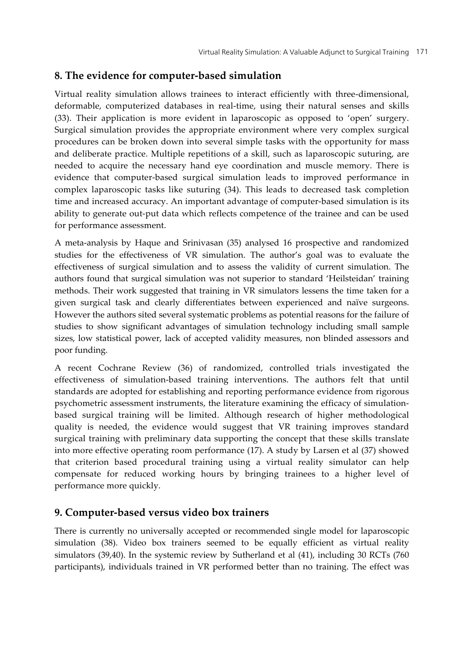# **8. The evidence for computer-based simulation**

Virtual reality simulation allows trainees to interact efficiently with three-dimensional, deformable, computerized databases in real-time, using their natural senses and skills (33). Their application is more evident in laparoscopic as opposed to 'open' surgery. Surgical simulation provides the appropriate environment where very complex surgical procedures can be broken down into several simple tasks with the opportunity for mass and deliberate practice. Multiple repetitions of a skill, such as laparoscopic suturing, are needed to acquire the necessary hand eye coordination and muscle memory. There is evidence that computer-based surgical simulation leads to improved performance in complex laparoscopic tasks like suturing (34). This leads to decreased task completion time and increased accuracy. An important advantage of computer-based simulation is its ability to generate out-put data which reflects competence of the trainee and can be used for performance assessment.

A meta-analysis by Haque and Srinivasan (35) analysed 16 prospective and randomized studies for the effectiveness of VR simulation. The author's goal was to evaluate the effectiveness of surgical simulation and to assess the validity of current simulation. The authors found that surgical simulation was not superior to standard 'Heilsteidan' training methods. Their work suggested that training in VR simulators lessens the time taken for a given surgical task and clearly differentiates between experienced and naïve surgeons. However the authors sited several systematic problems as potential reasons for the failure of studies to show significant advantages of simulation technology including small sample sizes, low statistical power, lack of accepted validity measures, non blinded assessors and poor funding.

A recent Cochrane Review (36) of randomized, controlled trials investigated the effectiveness of simulation-based training interventions. The authors felt that until standards are adopted for establishing and reporting performance evidence from rigorous psychometric assessment instruments, the literature examining the efficacy of simulationbased surgical training will be limited. Although research of higher methodological quality is needed, the evidence would suggest that VR training improves standard surgical training with preliminary data supporting the concept that these skills translate into more effective operating room performance (17). A study by Larsen et al (37) showed that criterion based procedural training using a virtual reality simulator can help compensate for reduced working hours by bringing trainees to a higher level of performance more quickly.

# **9. Computer-based versus video box trainers**

There is currently no universally accepted or recommended single model for laparoscopic simulation (38). Video box trainers seemed to be equally efficient as virtual reality simulators (39,40). In the systemic review by Sutherland et al (41), including 30 RCTs (760 participants), individuals trained in VR performed better than no training. The effect was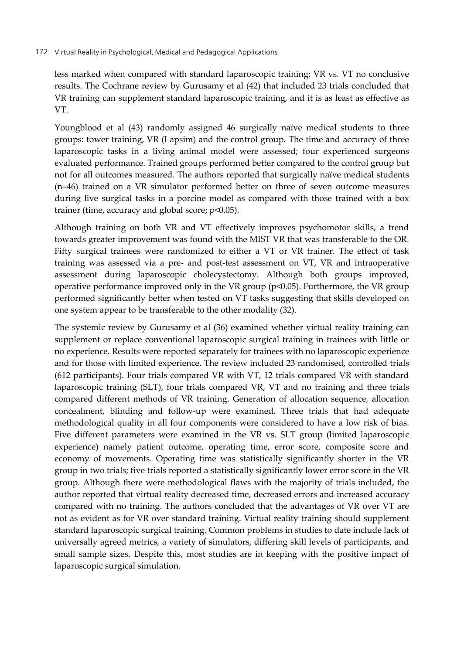less marked when compared with standard laparoscopic training; VR vs. VT no conclusive results. The Cochrane review by Gurusamy et al (42) that included 23 trials concluded that VR training can supplement standard laparoscopic training, and it is as least as effective as VT.

Youngblood et al (43) randomly assigned 46 surgically naïve medical students to three groups: tower training, VR (Lapsim) and the control group. The time and accuracy of three laparoscopic tasks in a living animal model were assessed; four experienced surgeons evaluated performance. Trained groups performed better compared to the control group but not for all outcomes measured. The authors reported that surgically naïve medical students (n=46) trained on a VR simulator performed better on three of seven outcome measures during live surgical tasks in a porcine model as compared with those trained with a box trainer (time, accuracy and global score; p<0.05).

Although training on both VR and VT effectively improves psychomotor skills, a trend towards greater improvement was found with the MIST VR that was transferable to the OR. Fifty surgical trainees were randomized to either a VT or VR trainer. The effect of task training was assessed via a pre- and post-test assessment on VT, VR and intraoperative assessment during laparoscopic cholecystectomy. Although both groups improved, operative performance improved only in the VR group (p<0.05). Furthermore, the VR group performed significantly better when tested on VT tasks suggesting that skills developed on one system appear to be transferable to the other modality (32).

The systemic review by Gurusamy et al (36) examined whether virtual reality training can supplement or replace conventional laparoscopic surgical training in trainees with little or no experience. Results were reported separately for trainees with no laparoscopic experience and for those with limited experience. The review included 23 randomised, controlled trials (612 participants). Four trials compared VR with VT, 12 trials compared VR with standard laparoscopic training (SLT), four trials compared VR, VT and no training and three trials compared different methods of VR training. Generation of allocation sequence, allocation concealment, blinding and follow-up were examined. Three trials that had adequate methodological quality in all four components were considered to have a low risk of bias. Five different parameters were examined in the VR vs. SLT group (limited laparoscopic experience) namely patient outcome, operating time, error score, composite score and economy of movements. Operating time was statistically significantly shorter in the VR group in two trials; five trials reported a statistically significantly lower error score in the VR group. Although there were methodological flaws with the majority of trials included, the author reported that virtual reality decreased time, decreased errors and increased accuracy compared with no training. The authors concluded that the advantages of VR over VT are not as evident as for VR over standard training. Virtual reality training should supplement standard laparoscopic surgical training. Common problems in studies to date include lack of universally agreed metrics, a variety of simulators, differing skill levels of participants, and small sample sizes. Despite this, most studies are in keeping with the positive impact of laparoscopic surgical simulation.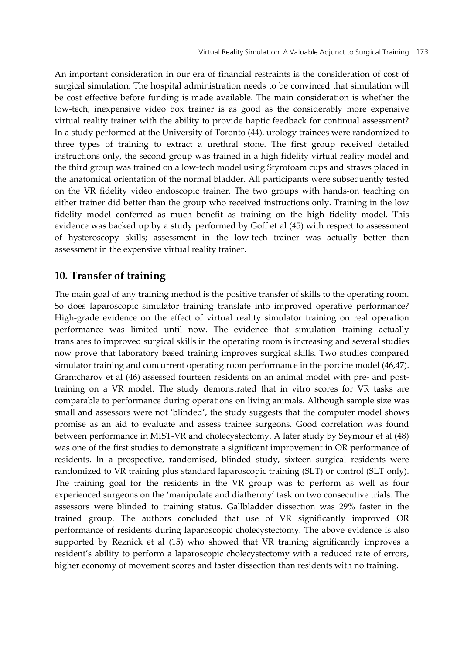An important consideration in our era of financial restraints is the consideration of cost of surgical simulation. The hospital administration needs to be convinced that simulation will be cost effective before funding is made available. The main consideration is whether the low-tech, inexpensive video box trainer is as good as the considerably more expensive virtual reality trainer with the ability to provide haptic feedback for continual assessment? In a study performed at the University of Toronto (44), urology trainees were randomized to three types of training to extract a urethral stone. The first group received detailed instructions only, the second group was trained in a high fidelity virtual reality model and the third group was trained on a low-tech model using Styrofoam cups and straws placed in the anatomical orientation of the normal bladder. All participants were subsequently tested on the VR fidelity video endoscopic trainer. The two groups with hands-on teaching on either trainer did better than the group who received instructions only. Training in the low fidelity model conferred as much benefit as training on the high fidelity model. This evidence was backed up by a study performed by Goff et al (45) with respect to assessment of hysteroscopy skills; assessment in the low-tech trainer was actually better than assessment in the expensive virtual reality trainer.

## **10. Transfer of training**

The main goal of any training method is the positive transfer of skills to the operating room. So does laparoscopic simulator training translate into improved operative performance? High-grade evidence on the effect of virtual reality simulator training on real operation performance was limited until now. The evidence that simulation training actually translates to improved surgical skills in the operating room is increasing and several studies now prove that laboratory based training improves surgical skills. Two studies compared simulator training and concurrent operating room performance in the porcine model (46,47). Grantcharov et al (46) assessed fourteen residents on an animal model with pre- and posttraining on a VR model. The study demonstrated that in vitro scores for VR tasks are comparable to performance during operations on living animals. Although sample size was small and assessors were not 'blinded', the study suggests that the computer model shows promise as an aid to evaluate and assess trainee surgeons. Good correlation was found between performance in MIST-VR and cholecystectomy. A later study by Seymour et al (48) was one of the first studies to demonstrate a significant improvement in OR performance of residents. In a prospective, randomised, blinded study, sixteen surgical residents were randomized to VR training plus standard laparoscopic training (SLT) or control (SLT only). The training goal for the residents in the VR group was to perform as well as four experienced surgeons on the 'manipulate and diathermy' task on two consecutive trials. The assessors were blinded to training status. Gallbladder dissection was 29% faster in the trained group. The authors concluded that use of VR significantly improved OR performance of residents during laparoscopic cholecystectomy. The above evidence is also supported by Reznick et al (15) who showed that VR training significantly improves a resident's ability to perform a laparoscopic cholecystectomy with a reduced rate of errors, higher economy of movement scores and faster dissection than residents with no training.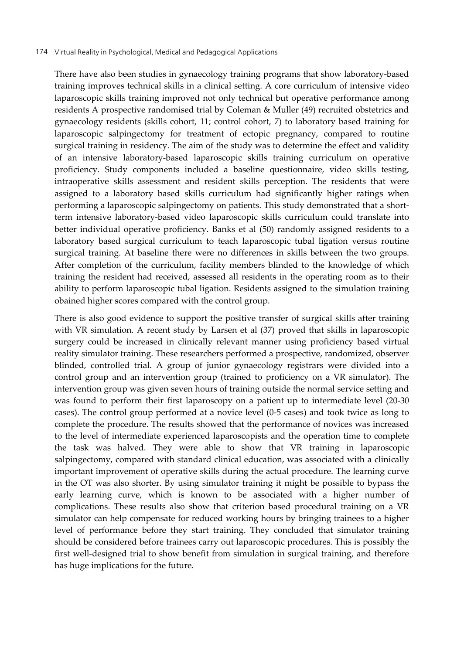There have also been studies in gynaecology training programs that show laboratory-based training improves technical skills in a clinical setting. A core curriculum of intensive video laparoscopic skills training improved not only technical but operative performance among residents A prospective randomised trial by Coleman & Muller (49) recruited obstetrics and gynaecology residents (skills cohort, 11; control cohort, 7) to laboratory based training for laparoscopic salpingectomy for treatment of ectopic pregnancy, compared to routine surgical training in residency. The aim of the study was to determine the effect and validity of an intensive laboratory-based laparoscopic skills training curriculum on operative proficiency. Study components included a baseline questionnaire, video skills testing, intraoperative skills assessment and resident skills perception. The residents that were assigned to a laboratory based skills curriculum had significantly higher ratings when performing a laparoscopic salpingectomy on patients. This study demonstrated that a shortterm intensive laboratory-based video laparoscopic skills curriculum could translate into better individual operative proficiency. Banks et al (50) randomly assigned residents to a laboratory based surgical curriculum to teach laparoscopic tubal ligation versus routine surgical training. At baseline there were no differences in skills between the two groups. After completion of the curriculum, facility members blinded to the knowledge of which training the resident had received, assessed all residents in the operating room as to their ability to perform laparoscopic tubal ligation. Residents assigned to the simulation training obained higher scores compared with the control group.

There is also good evidence to support the positive transfer of surgical skills after training with VR simulation. A recent study by Larsen et al (37) proved that skills in laparoscopic surgery could be increased in clinically relevant manner using proficiency based virtual reality simulator training. These researchers performed a prospective, randomized, observer blinded, controlled trial. A group of junior gynaecology registrars were divided into a control group and an intervention group (trained to proficiency on a VR simulator). The intervention group was given seven hours of training outside the normal service setting and was found to perform their first laparoscopy on a patient up to intermediate level (20-30 cases). The control group performed at a novice level (0-5 cases) and took twice as long to complete the procedure. The results showed that the performance of novices was increased to the level of intermediate experienced laparoscopists and the operation time to complete the task was halved. They were able to show that VR training in laparoscopic salpingectomy, compared with standard clinical education, was associated with a clinically important improvement of operative skills during the actual procedure. The learning curve in the OT was also shorter. By using simulator training it might be possible to bypass the early learning curve, which is known to be associated with a higher number of complications. These results also show that criterion based procedural training on a VR simulator can help compensate for reduced working hours by bringing trainees to a higher level of performance before they start training. They concluded that simulator training should be considered before trainees carry out laparoscopic procedures. This is possibly the first well-designed trial to show benefit from simulation in surgical training, and therefore has huge implications for the future.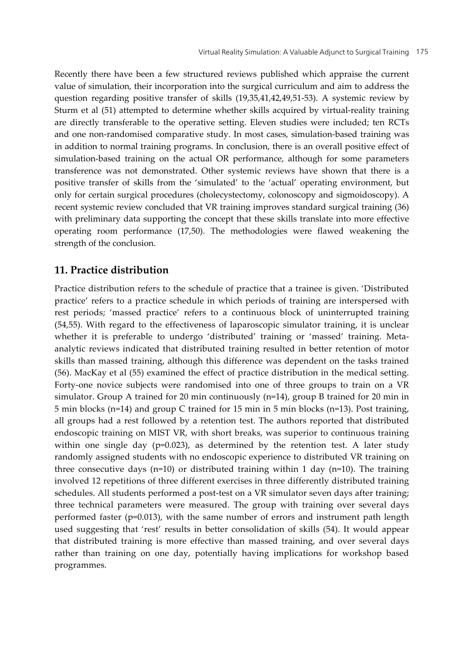Recently there have been a few structured reviews published which appraise the current value of simulation, their incorporation into the surgical curriculum and aim to address the question regarding positive transfer of skills (19,35,41,42,49,51-53). A systemic review by Sturm et al (51) attempted to determine whether skills acquired by virtual-reality training are directly transferable to the operative setting. Eleven studies were included; ten RCTs and one non-randomised comparative study. In most cases, simulation-based training was in addition to normal training programs. In conclusion, there is an overall positive effect of simulation-based training on the actual OR performance, although for some parameters transference was not demonstrated. Other systemic reviews have shown that there is a positive transfer of skills from the 'simulated' to the 'actual' operating environment, but only for certain surgical procedures (cholecystectomy, colonoscopy and sigmoidoscopy). A recent systemic review concluded that VR training improves standard surgical training (36) with preliminary data supporting the concept that these skills translate into more effective operating room performance (17,50). The methodologies were flawed weakening the strength of the conclusion.

## **11. Practice distribution**

Practice distribution refers to the schedule of practice that a trainee is given. 'Distributed practice' refers to a practice schedule in which periods of training are interspersed with rest periods; 'massed practice' refers to a continuous block of uninterrupted training (54,55). With regard to the effectiveness of laparoscopic simulator training, it is unclear whether it is preferable to undergo 'distributed' training or 'massed' training. Metaanalytic reviews indicated that distributed training resulted in better retention of motor skills than massed training, although this difference was dependent on the tasks trained (56). MacKay et al (55) examined the effect of practice distribution in the medical setting. Forty-one novice subjects were randomised into one of three groups to train on a VR simulator. Group A trained for 20 min continuously (n=14), group B trained for 20 min in 5 min blocks (n=14) and group C trained for 15 min in 5 min blocks (n=13). Post training, all groups had a rest followed by a retention test. The authors reported that distributed endoscopic training on MIST VR, with short breaks, was superior to continuous training within one single day ( $p=0.023$ ), as determined by the retention test. A later study randomly assigned students with no endoscopic experience to distributed VR training on three consecutive days  $(n=10)$  or distributed training within 1 day  $(n=10)$ . The training involved 12 repetitions of three different exercises in three differently distributed training schedules. All students performed a post-test on a VR simulator seven days after training; three technical parameters were measured. The group with training over several days performed faster (p=0.013), with the same number of errors and instrument path length used suggesting that 'rest' results in better consolidation of skills (54). It would appear that distributed training is more effective than massed training, and over several days rather than training on one day, potentially having implications for workshop based programmes.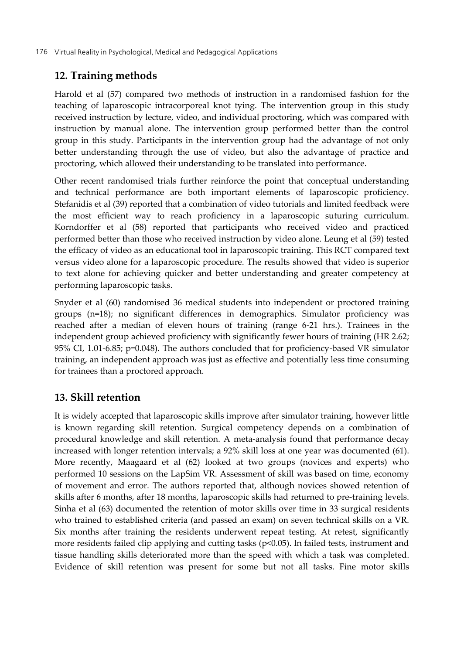# **12. Training methods**

Harold et al (57) compared two methods of instruction in a randomised fashion for the teaching of laparoscopic intracorporeal knot tying. The intervention group in this study received instruction by lecture, video, and individual proctoring, which was compared with instruction by manual alone. The intervention group performed better than the control group in this study. Participants in the intervention group had the advantage of not only better understanding through the use of video, but also the advantage of practice and proctoring, which allowed their understanding to be translated into performance.

Other recent randomised trials further reinforce the point that conceptual understanding and technical performance are both important elements of laparoscopic proficiency. Stefanidis et al (39) reported that a combination of video tutorials and limited feedback were the most efficient way to reach proficiency in a laparoscopic suturing curriculum. Korndorffer et al (58) reported that participants who received video and practiced performed better than those who received instruction by video alone. Leung et al (59) tested the efficacy of video as an educational tool in laparoscopic training. This RCT compared text versus video alone for a laparoscopic procedure. The results showed that video is superior to text alone for achieving quicker and better understanding and greater competency at performing laparoscopic tasks.

Snyder et al (60) randomised 36 medical students into independent or proctored training groups (n=18); no significant differences in demographics. Simulator proficiency was reached after a median of eleven hours of training (range 6-21 hrs.). Trainees in the independent group achieved proficiency with significantly fewer hours of training (HR 2.62; 95% CI, 1.01-6.85; p=0.048). The authors concluded that for proficiency-based VR simulator training, an independent approach was just as effective and potentially less time consuming for trainees than a proctored approach.

# **13. Skill retention**

It is widely accepted that laparoscopic skills improve after simulator training, however little is known regarding skill retention. Surgical competency depends on a combination of procedural knowledge and skill retention. A meta-analysis found that performance decay increased with longer retention intervals; a 92% skill loss at one year was documented (61). More recently, Maagaard et al (62) looked at two groups (novices and experts) who performed 10 sessions on the LapSim VR. Assessment of skill was based on time, economy of movement and error. The authors reported that, although novices showed retention of skills after 6 months, after 18 months, laparoscopic skills had returned to pre-training levels. Sinha et al (63) documented the retention of motor skills over time in 33 surgical residents who trained to established criteria (and passed an exam) on seven technical skills on a VR. Six months after training the residents underwent repeat testing. At retest, significantly more residents failed clip applying and cutting tasks (p<0.05). In failed tests, instrument and tissue handling skills deteriorated more than the speed with which a task was completed. Evidence of skill retention was present for some but not all tasks. Fine motor skills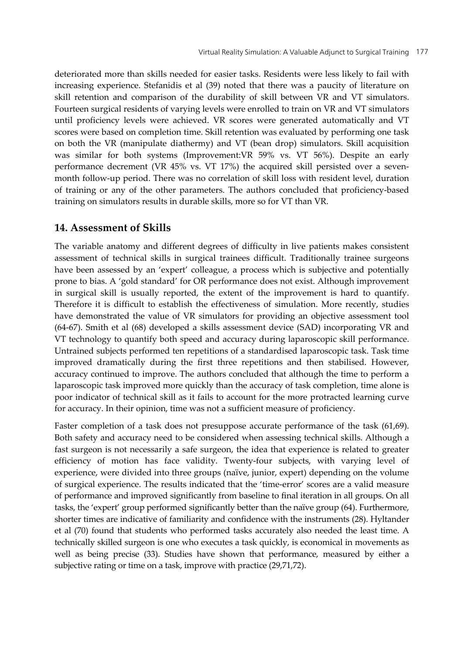deteriorated more than skills needed for easier tasks. Residents were less likely to fail with increasing experience. Stefanidis et al (39) noted that there was a paucity of literature on skill retention and comparison of the durability of skill between VR and VT simulators. Fourteen surgical residents of varying levels were enrolled to train on VR and VT simulators until proficiency levels were achieved. VR scores were generated automatically and VT scores were based on completion time. Skill retention was evaluated by performing one task on both the VR (manipulate diathermy) and VT (bean drop) simulators. Skill acquisition was similar for both systems (Improvement:VR 59% vs. VT 56%). Despite an early performance decrement (VR 45% vs. VT 17%) the acquired skill persisted over a sevenmonth follow-up period. There was no correlation of skill loss with resident level, duration of training or any of the other parameters. The authors concluded that proficiency-based training on simulators results in durable skills, more so for VT than VR.

### **14. Assessment of Skills**

The variable anatomy and different degrees of difficulty in live patients makes consistent assessment of technical skills in surgical trainees difficult. Traditionally trainee surgeons have been assessed by an 'expert' colleague, a process which is subjective and potentially prone to bias. A 'gold standard' for OR performance does not exist. Although improvement in surgical skill is usually reported, the extent of the improvement is hard to quantify. Therefore it is difficult to establish the effectiveness of simulation. More recently, studies have demonstrated the value of VR simulators for providing an objective assessment tool (64-67). Smith et al (68) developed a skills assessment device (SAD) incorporating VR and VT technology to quantify both speed and accuracy during laparoscopic skill performance. Untrained subjects performed ten repetitions of a standardised laparoscopic task. Task time improved dramatically during the first three repetitions and then stabilised. However, accuracy continued to improve. The authors concluded that although the time to perform a laparoscopic task improved more quickly than the accuracy of task completion, time alone is poor indicator of technical skill as it fails to account for the more protracted learning curve for accuracy. In their opinion, time was not a sufficient measure of proficiency.

Faster completion of a task does not presuppose accurate performance of the task (61,69). Both safety and accuracy need to be considered when assessing technical skills. Although a fast surgeon is not necessarily a safe surgeon, the idea that experience is related to greater efficiency of motion has face validity. Twenty-four subjects, with varying level of experience, were divided into three groups (naïve, junior, expert) depending on the volume of surgical experience. The results indicated that the 'time-error' scores are a valid measure of performance and improved significantly from baseline to final iteration in all groups. On all tasks, the 'expert' group performed significantly better than the naïve group (64). Furthermore, shorter times are indicative of familiarity and confidence with the instruments (28). Hyltander et al (70) found that students who performed tasks accurately also needed the least time. A technically skilled surgeon is one who executes a task quickly, is economical in movements as well as being precise (33). Studies have shown that performance, measured by either a subjective rating or time on a task, improve with practice (29,71,72).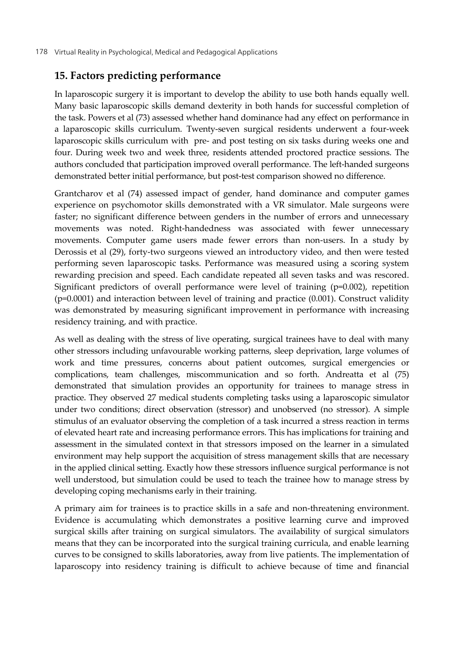# **15. Factors predicting performance**

In laparoscopic surgery it is important to develop the ability to use both hands equally well. Many basic laparoscopic skills demand dexterity in both hands for successful completion of the task. Powers et al (73) assessed whether hand dominance had any effect on performance in a laparoscopic skills curriculum. Twenty-seven surgical residents underwent a four-week laparoscopic skills curriculum with pre- and post testing on six tasks during weeks one and four. During week two and week three, residents attended proctored practice sessions. The authors concluded that participation improved overall performance. The left-handed surgeons demonstrated better initial performance, but post-test comparison showed no difference.

Grantcharov et al (74) assessed impact of gender, hand dominance and computer games experience on psychomotor skills demonstrated with a VR simulator. Male surgeons were faster; no significant difference between genders in the number of errors and unnecessary movements was noted. Right-handedness was associated with fewer unnecessary movements. Computer game users made fewer errors than non-users. In a study by Derossis et al (29), forty-two surgeons viewed an introductory video, and then were tested performing seven laparoscopic tasks. Performance was measured using a scoring system rewarding precision and speed. Each candidate repeated all seven tasks and was rescored. Significant predictors of overall performance were level of training (p=0.002), repetition (p=0.0001) and interaction between level of training and practice (0.001). Construct validity was demonstrated by measuring significant improvement in performance with increasing residency training, and with practice.

As well as dealing with the stress of live operating, surgical trainees have to deal with many other stressors including unfavourable working patterns, sleep deprivation, large volumes of work and time pressures, concerns about patient outcomes, surgical emergencies or complications, team challenges, miscommunication and so forth. Andreatta et al (75) demonstrated that simulation provides an opportunity for trainees to manage stress in practice. They observed 27 medical students completing tasks using a laparoscopic simulator under two conditions; direct observation (stressor) and unobserved (no stressor). A simple stimulus of an evaluator observing the completion of a task incurred a stress reaction in terms of elevated heart rate and increasing performance errors. This has implications for training and assessment in the simulated context in that stressors imposed on the learner in a simulated environment may help support the acquisition of stress management skills that are necessary in the applied clinical setting. Exactly how these stressors influence surgical performance is not well understood, but simulation could be used to teach the trainee how to manage stress by developing coping mechanisms early in their training.

A primary aim for trainees is to practice skills in a safe and non-threatening environment. Evidence is accumulating which demonstrates a positive learning curve and improved surgical skills after training on surgical simulators. The availability of surgical simulators means that they can be incorporated into the surgical training curricula, and enable learning curves to be consigned to skills laboratories, away from live patients. The implementation of laparoscopy into residency training is difficult to achieve because of time and financial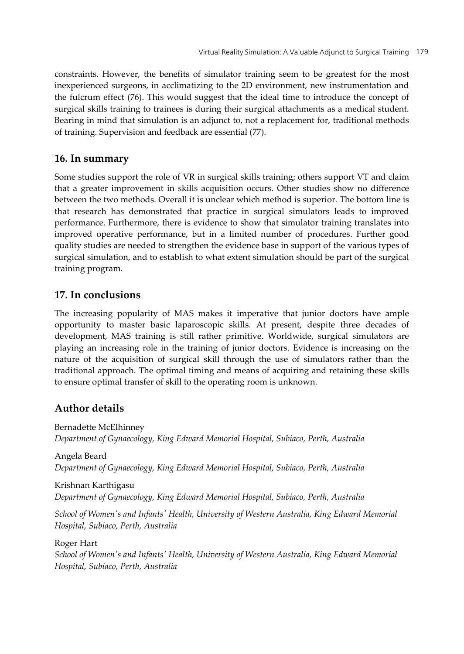constraints. However, the benefits of simulator training seem to be greatest for the most inexperienced surgeons, in acclimatizing to the 2D environment, new instrumentation and the fulcrum effect (76). This would suggest that the ideal time to introduce the concept of surgical skills training to trainees is during their surgical attachments as a medical student. Bearing in mind that simulation is an adjunct to, not a replacement for, traditional methods of training. Supervision and feedback are essential (77).

# **16. In summary**

Some studies support the role of VR in surgical skills training; others support VT and claim that a greater improvement in skills acquisition occurs. Other studies show no difference between the two methods. Overall it is unclear which method is superior. The bottom line is that research has demonstrated that practice in surgical simulators leads to improved performance. Furthermore, there is evidence to show that simulator training translates into improved operative performance, but in a limited number of procedures. Further good quality studies are needed to strengthen the evidence base in support of the various types of surgical simulation, and to establish to what extent simulation should be part of the surgical training program.

# **17. In conclusions**

The increasing popularity of MAS makes it imperative that junior doctors have ample opportunity to master basic laparoscopic skills. At present, despite three decades of development, MAS training is still rather primitive. Worldwide, surgical simulators are playing an increasing role in the training of junior doctors. Evidence is increasing on the nature of the acquisition of surgical skill through the use of simulators rather than the traditional approach. The optimal timing and means of acquiring and retaining these skills to ensure optimal transfer of skill to the operating room is unknown.

# **Author details**

Bernadette McElhinney *Department of Gynaecology, King Edward Memorial Hospital, Subiaco, Perth, Australia* 

Angela Beard *Department of Gynaecology, King Edward Memorial Hospital, Subiaco, Perth, Australia* 

Krishnan Karthigasu *Department of Gynaecology, King Edward Memorial Hospital, Subiaco, Perth, Australia* 

*School of Women's and Infants' Health, University of Western Australia, King Edward Memorial Hospital, Subiaco, Perth, Australia* 

Roger Hart

*School of Women's and Infants' Health, University of Western Australia, King Edward Memorial Hospital, Subiaco, Perth, Australia*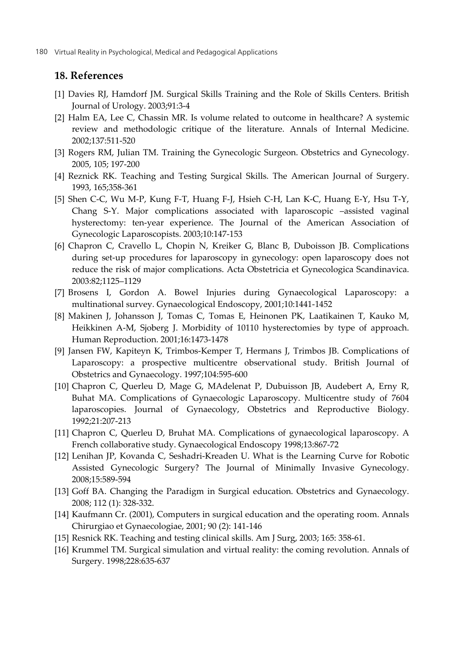### **18. References**

- [1] Davies RJ, Hamdorf JM. Surgical Skills Training and the Role of Skills Centers. British Journal of Urology. 2003;91:3-4
- [2] Halm EA, Lee C, Chassin MR. Is volume related to outcome in healthcare? A systemic review and methodologic critique of the literature. Annals of Internal Medicine. 2002;137:511-520
- [3] Rogers RM, Julian TM. Training the Gynecologic Surgeon. Obstetrics and Gynecology. 2005, 105; 197-200
- [4] Reznick RK. Teaching and Testing Surgical Skills. The American Journal of Surgery. 1993, 165;358-361
- [5] Shen C-C, Wu M-P, Kung F-T, Huang F-J, Hsieh C-H, Lan K-C, Huang E-Y, Hsu T-Y, Chang S-Y. Major complications associated with laparoscopic –assisted vaginal hysterectomy: ten-year experience. The Journal of the American Association of Gynecologic Laparoscopists. 2003;10:147-153
- [6] Chapron C, Cravello L, Chopin N, Kreiker G, Blanc B, Duboisson JB. Complications during set-up procedures for laparoscopy in gynecology: open laparoscopy does not reduce the risk of major complications. Acta Obstetricia et Gynecologica Scandinavica. 2003:82;1125–1129
- [7] Brosens I, Gordon A. Bowel Injuries during Gynaecological Laparoscopy: a multinational survey. Gynaecological Endoscopy, 2001;10:1441-1452
- [8] Makinen J, Johansson J, Tomas C, Tomas E, Heinonen PK, Laatikainen T, Kauko M, Heikkinen A-M, Sjoberg J. Morbidity of 10110 hysterectomies by type of approach. Human Reproduction. 2001;16:1473-1478
- [9] Jansen FW, Kapiteyn K, Trimbos-Kemper T, Hermans J, Trimbos JB. Complications of Laparoscopy: a prospective multicentre observational study. British Journal of Obstetrics and Gynaecology. 1997;104:595-600
- [10] Chapron C, Querleu D, Mage G, MAdelenat P, Dubuisson JB, Audebert A, Erny R, Buhat MA. Complications of Gynaecologic Laparoscopy. Multicentre study of 7604 laparoscopies. Journal of Gynaecology, Obstetrics and Reproductive Biology. 1992;21:207-213
- [11] Chapron C, Querleu D, Bruhat MA. Complications of gynaecological laparoscopy. A French collaborative study. Gynaecological Endoscopy 1998;13:867-72
- [12] Lenihan JP, Kovanda C, Seshadri-Kreaden U. What is the Learning Curve for Robotic Assisted Gynecologic Surgery? The Journal of Minimally Invasive Gynecology. 2008;15:589-594
- [13] Goff BA. Changing the Paradigm in Surgical education. Obstetrics and Gynaecology. 2008; 112 (1): 328-332.
- [14] Kaufmann Cr. (2001), Computers in surgical education and the operating room. Annals Chirurgiao et Gynaecologiae, 2001; 90 (2): 141-146
- [15] Resnick RK. Teaching and testing clinical skills. Am J Surg, 2003; 165: 358-61.
- [16] Krummel TM. Surgical simulation and virtual reality: the coming revolution. Annals of Surgery. 1998;228:635-637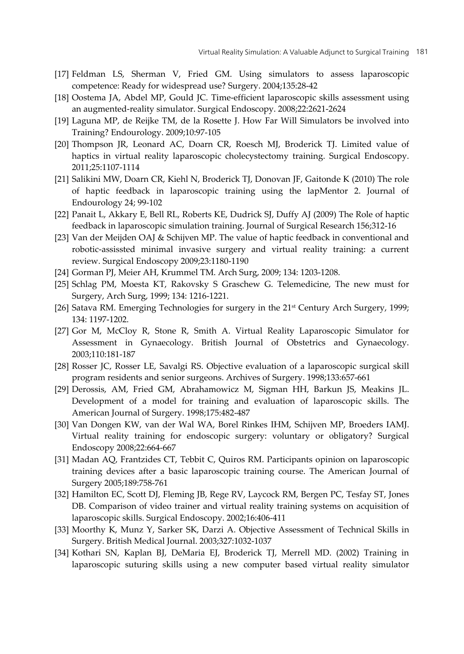- [17] Feldman LS, Sherman V, Fried GM. Using simulators to assess laparoscopic competence: Ready for widespread use? Surgery. 2004;135:28-42
- [18] Oostema JA, Abdel MP, Gould JC. Time-efficient laparoscopic skills assessment using an augmented-reality simulator. Surgical Endoscopy. 2008;22:2621-2624
- [19] Laguna MP, de Reijke TM, de la Rosette J. How Far Will Simulators be involved into Training? Endourology. 2009;10:97-105
- [20] Thompson JR, Leonard AC, Doarn CR, Roesch MJ, Broderick TJ. Limited value of haptics in virtual reality laparoscopic cholecystectomy training. Surgical Endoscopy. 2011;25:1107-1114
- [21] Salikini MW, Doarn CR, Kiehl N, Broderick TJ, Donovan JF, Gaitonde K (2010) The role of haptic feedback in laparoscopic training using the lapMentor 2. Journal of Endourology 24; 99-102
- [22] Panait L, Akkary E, Bell RL, Roberts KE, Dudrick SJ, Duffy AJ (2009) The Role of haptic feedback in laparoscopic simulation training. Journal of Surgical Research 156;312-16
- [23] Van der Meijden OAJ & Schijven MP. The value of haptic feedback in conventional and robotic-assissted minimal invasive surgery and virtual reality training: a current review. Surgical Endoscopy 2009;23:1180-1190
- [24] Gorman PJ, Meier AH, Krummel TM. Arch Surg, 2009; 134: 1203-1208.
- [25] Schlag PM, Moesta KT, Rakovsky S Graschew G. Telemedicine, The new must for Surgery, Arch Surg, 1999; 134: 1216-1221.
- [26] Satava RM. Emerging Technologies for surgery in the 21st Century Arch Surgery, 1999; 134: 1197-1202.
- [27] Gor M, McCloy R, Stone R, Smith A. Virtual Reality Laparoscopic Simulator for Assessment in Gynaecology. British Journal of Obstetrics and Gynaecology. 2003;110:181-187
- [28] Rosser JC, Rosser LE, Savalgi RS. Objective evaluation of a laparoscopic surgical skill program residents and senior surgeons. Archives of Surgery. 1998;133:657-661
- [29] Derossis, AM, Fried GM, Abrahamowicz M, Sigman HH, Barkun JS, Meakins JL. Development of a model for training and evaluation of laparoscopic skills. The American Journal of Surgery. 1998;175:482-487
- [30] Van Dongen KW, van der Wal WA, Borel Rinkes IHM, Schijven MP, Broeders IAMJ. Virtual reality training for endoscopic surgery: voluntary or obligatory? Surgical Endoscopy 2008;22:664-667
- [31] Madan AQ, Frantzides CT, Tebbit C, Quiros RM. Participants opinion on laparoscopic training devices after a basic laparoscopic training course. The American Journal of Surgery 2005;189:758-761
- [32] Hamilton EC, Scott DJ, Fleming JB, Rege RV, Laycock RM, Bergen PC, Tesfay ST, Jones DB. Comparison of video trainer and virtual reality training systems on acquisition of laparoscopic skills. Surgical Endoscopy. 2002;16:406-411
- [33] Moorthy K, Munz Y, Sarker SK, Darzi A. Objective Assessment of Technical Skills in Surgery. British Medical Journal. 2003;327:1032-1037
- [34] Kothari SN, Kaplan BJ, DeMaria EJ, Broderick TJ, Merrell MD. (2002) Training in laparoscopic suturing skills using a new computer based virtual reality simulator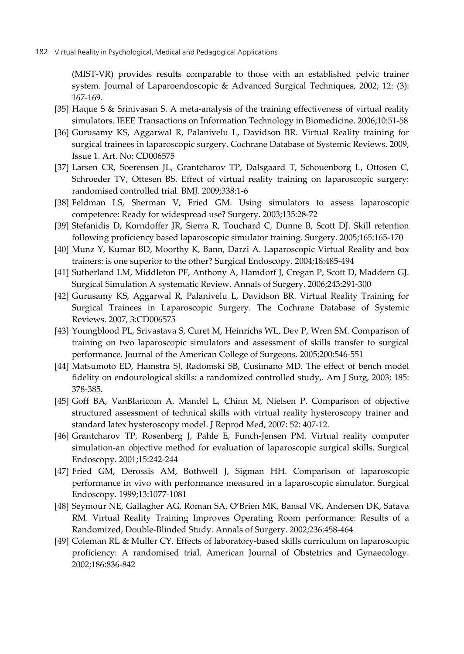(MIST-VR) provides results comparable to those with an established pelvic trainer system. Journal of Laparoendoscopic & Advanced Surgical Techniques, 2002; 12: (3): 167-169.

- [35] Haque S & Srinivasan S. A meta-analysis of the training effectiveness of virtual reality simulators. IEEE Transactions on Information Technology in Biomedicine. 2006;10:51-58
- [36] Gurusamy KS, Aggarwal R, Palanivelu L, Davidson BR. Virtual Reality training for surgical trainees in laparoscopic surgery. Cochrane Database of Systemic Reviews. 2009, Issue 1. Art. No: CD006575
- [37] Larsen CR, Soerensen JL, Grantcharov TP, Dalsgaard T, Schouenborg L, Ottosen C, Schroeder TV, Ottesen BS. Effect of virtual reality training on laparoscopic surgery: randomised controlled trial. BMJ. 2009;338:1-6
- [38] Feldman LS, Sherman V, Fried GM. Using simulators to assess laparoscopic competence: Ready for widespread use? Surgery. 2003;135:28-72
- [39] Stefanidis D, Korndoffer JR, Sierra R, Touchard C, Dunne B, Scott DJ. Skill retention following proficiency based laparoscopic simulator training. Surgery. 2005;165:165-170
- [40] Munz Y, Kumar BD, Moorthy K, Bann, Darzi A. Laparoscopic Virtual Reality and box trainers: is one superior to the other? Surgical Endoscopy. 2004;18:485-494
- [41] Sutherland LM, Middleton PF, Anthony A, Hamdorf J, Cregan P, Scott D, Maddern GJ. Surgical Simulation A systematic Review. Annals of Surgery. 2006;243:291-300
- [42] Gurusamy KS, Aggarwal R, Palanivelu L, Davidson BR. Virtual Reality Training for Surgical Trainees in Laparoscopic Surgery. The Cochrane Database of Systemic Reviews. 2007, 3:CD006575
- [43] Youngblood PL, Srivastava S, Curet M, Heinrichs WL, Dev P, Wren SM. Comparison of training on two laparoscopic simulators and assessment of skills transfer to surgical performance. Journal of the American College of Surgeons. 2005;200:546-551
- [44] Matsumoto ED, Hamstra SJ, Radomski SB, Cusimano MD. The effect of bench model fidelity on endourological skills: a randomized controlled study,. Am J Surg, 2003; 185: 378-385.
- [45] Goff BA, VanBlaricom A, Mandel L, Chinn M, Nielsen P. Comparison of objective structured assessment of technical skills with virtual reality hysteroscopy trainer and standard latex hysteroscopy model. J Reprod Med, 2007: 52: 407-12.
- [46] Grantcharov TP, Rosenberg J, Pahle E, Funch-Jensen PM. Virtual reality computer simulation-an objective method for evaluation of laparoscopic surgical skills. Surgical Endoscopy. 2001;15:242-244
- [47] Fried GM, Derossis AM, Bothwell J, Sigman HH. Comparison of laparoscopic performance in vivo with performance measured in a laparoscopic simulator. Surgical Endoscopy. 1999;13:1077-1081
- [48] Seymour NE, Gallagher AG, Roman SA, O'Brien MK, Bansal VK, Andersen DK, Satava RM. Virtual Reality Training Improves Operating Room performance: Results of a Randomized, Double-Blinded Study. Annals of Surgery. 2002;236:458-464
- [49] Coleman RL & Muller CY. Effects of laboratory-based skills curriculum on laparoscopic proficiency: A randomised trial. American Journal of Obstetrics and Gynaecology. 2002;186:836-842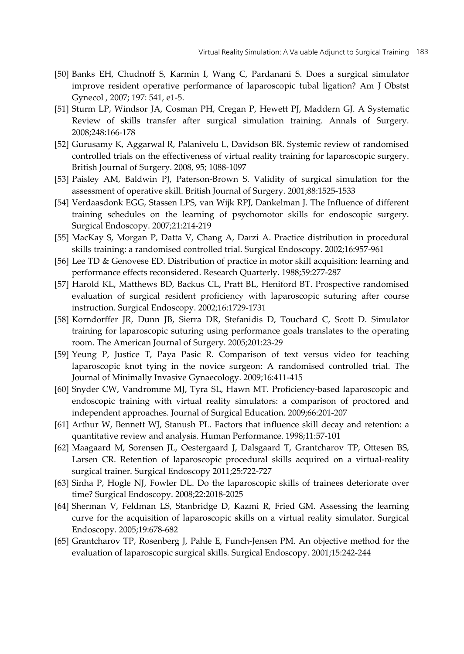- [50] Banks EH, Chudnoff S, Karmin I, Wang C, Pardanani S. Does a surgical simulator improve resident operative performance of laparoscopic tubal ligation? Am J Obstst Gynecol , 2007; 197: 541, e1-5.
- [51] Sturm LP, Windsor JA, Cosman PH, Cregan P, Hewett PJ, Maddern GJ. A Systematic Review of skills transfer after surgical simulation training. Annals of Surgery. 2008;248:166-178
- [52] Gurusamy K, Aggarwal R, Palanivelu L, Davidson BR. Systemic review of randomised controlled trials on the effectiveness of virtual reality training for laparoscopic surgery. British Journal of Surgery. 2008, 95; 1088-1097
- [53] Paisley AM, Baldwin PJ, Paterson-Brown S. Validity of surgical simulation for the assessment of operative skill. British Journal of Surgery. 2001;88:1525-1533
- [54] Verdaasdonk EGG, Stassen LPS, van Wijk RPJ, Dankelman J. The Influence of different training schedules on the learning of psychomotor skills for endoscopic surgery. Surgical Endoscopy. 2007;21:214-219
- [55] MacKay S, Morgan P, Datta V, Chang A, Darzi A. Practice distribution in procedural skills training: a randomised controlled trial. Surgical Endoscopy. 2002;16:957-961
- [56] Lee TD & Genovese ED. Distribution of practice in motor skill acquisition: learning and performance effects reconsidered. Research Quarterly. 1988;59:277-287
- [57] Harold KL, Matthews BD, Backus CL, Pratt BL, Heniford BT. Prospective randomised evaluation of surgical resident proficiency with laparoscopic suturing after course instruction. Surgical Endoscopy. 2002;16:1729-1731
- [58] Korndorffer JR, Dunn JB, Sierra DR, Stefanidis D, Touchard C, Scott D. Simulator training for laparoscopic suturing using performance goals translates to the operating room. The American Journal of Surgery. 2005;201:23-29
- [59] Yeung P, Justice T, Paya Pasic R. Comparison of text versus video for teaching laparoscopic knot tying in the novice surgeon: A randomised controlled trial. The Journal of Minimally Invasive Gynaecology. 2009;16:411-415
- [60] Snyder CW, Vandromme MJ, Tyra SL, Hawn MT. Proficiency-based laparoscopic and endoscopic training with virtual reality simulators: a comparison of proctored and independent approaches. Journal of Surgical Education. 2009;66:201-207
- [61] Arthur W, Bennett WJ, Stanush PL. Factors that influence skill decay and retention: a quantitative review and analysis. Human Performance. 1998;11:57-101
- [62] Maagaard M, Sorensen JL, Oestergaard J, Dalsgaard T, Grantcharov TP, Ottesen BS, Larsen CR. Retention of laparoscopic procedural skills acquired on a virtual-reality surgical trainer. Surgical Endoscopy 2011;25:722-727
- [63] Sinha P, Hogle NJ, Fowler DL. Do the laparoscopic skills of trainees deteriorate over time? Surgical Endoscopy. 2008;22:2018-2025
- [64] Sherman V, Feldman LS, Stanbridge D, Kazmi R, Fried GM. Assessing the learning curve for the acquisition of laparoscopic skills on a virtual reality simulator. Surgical Endoscopy. 2005;19:678-682
- [65] Grantcharov TP, Rosenberg J, Pahle E, Funch-Jensen PM. An objective method for the evaluation of laparoscopic surgical skills. Surgical Endoscopy. 2001;15:242-244